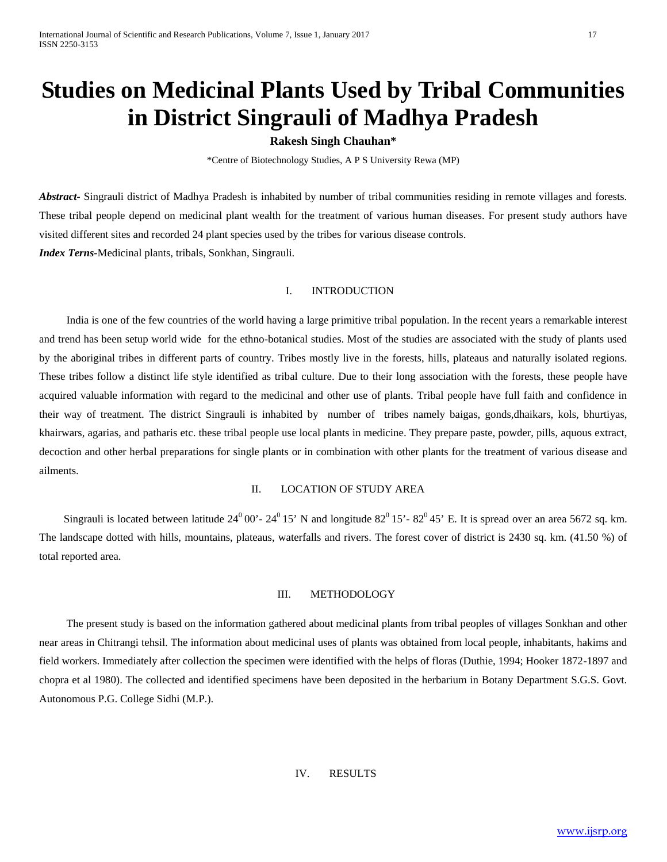# **Studies on Medicinal Plants Used by Tribal Communities in District Singrauli of Madhya Pradesh**

# **Rakesh Singh Chauhan\***

\*Centre of Biotechnology Studies, A P S University Rewa (MP)

*Abstract-* Singrauli district of Madhya Pradesh is inhabited by number of tribal communities residing in remote villages and forests. These tribal people depend on medicinal plant wealth for the treatment of various human diseases. For present study authors have visited different sites and recorded 24 plant species used by the tribes for various disease controls. *Index Terns-*Medicinal plants, tribals, Sonkhan, Singrauli.

#### I. INTRODUCTION

 India is one of the few countries of the world having a large primitive tribal population. In the recent years a remarkable interest and trend has been setup world wide for the ethno-botanical studies. Most of the studies are associated with the study of plants used by the aboriginal tribes in different parts of country. Tribes mostly live in the forests, hills, plateaus and naturally isolated regions. These tribes follow a distinct life style identified as tribal culture. Due to their long association with the forests, these people have acquired valuable information with regard to the medicinal and other use of plants. Tribal people have full faith and confidence in their way of treatment. The district Singrauli is inhabited by number of tribes namely baigas, gonds,dhaikars, kols, bhurtiyas, khairwars, agarias, and patharis etc. these tribal people use local plants in medicine. They prepare paste, powder, pills, aquous extract, decoction and other herbal preparations for single plants or in combination with other plants for the treatment of various disease and ailments.

# II. LOCATION OF STUDY AREA

Singrauli is located between latitude  $24^0 00'$ -  $24^0 15'$  N and longitude  $82^0 15'$ -  $82^0 45'$  E. It is spread over an area 5672 sq. km. The landscape dotted with hills, mountains, plateaus, waterfalls and rivers. The forest cover of district is 2430 sq. km. (41.50 %) of total reported area.

#### III. METHODOLOGY

 The present study is based on the information gathered about medicinal plants from tribal peoples of villages Sonkhan and other near areas in Chitrangi tehsil. The information about medicinal uses of plants was obtained from local people, inhabitants, hakims and field workers. Immediately after collection the specimen were identified with the helps of floras (Duthie, 1994; Hooker 1872-1897 and chopra et al 1980). The collected and identified specimens have been deposited in the herbarium in Botany Department S.G.S. Govt. Autonomous P.G. College Sidhi (M.P.).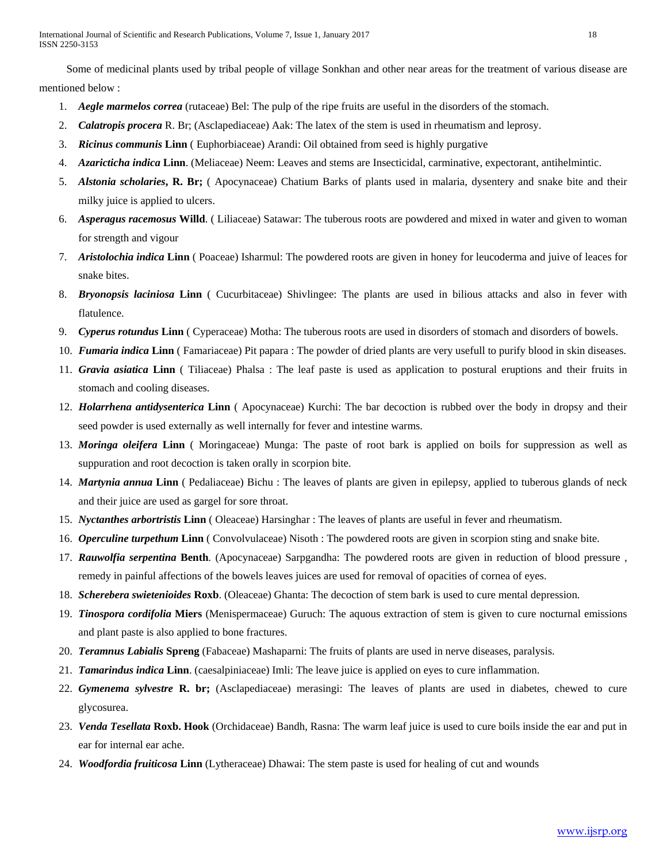Some of medicinal plants used by tribal people of village Sonkhan and other near areas for the treatment of various disease are mentioned below :

- 1. *Aegle marmelos correa* (rutaceae) Bel: The pulp of the ripe fruits are useful in the disorders of the stomach.
- 2. *Calatropis procera* R. Br; (Asclapediaceae) Aak: The latex of the stem is used in rheumatism and leprosy.
- 3. *Ricinus communis* **Linn** ( Euphorbiaceae) Arandi: Oil obtained from seed is highly purgative
- 4. *Azaricticha indica* **Linn**. (Meliaceae) Neem: Leaves and stems are Insecticidal, carminative, expectorant, antihelmintic.
- 5. *Alstonia scholaries***, R. Br;** ( Apocynaceae) Chatium Barks of plants used in malaria, dysentery and snake bite and their milky juice is applied to ulcers.
- 6. *Asperagus racemosus* **Willd**. ( Liliaceae) Satawar: The tuberous roots are powdered and mixed in water and given to woman for strength and vigour
- 7. *Aristolochia indica* **Linn** ( Poaceae) Isharmul: The powdered roots are given in honey for leucoderma and juive of leaces for snake bites.
- 8. *Bryonopsis laciniosa* **Linn** ( Cucurbitaceae) Shivlingee: The plants are used in bilious attacks and also in fever with flatulence.
- 9. *Cyperus rotundus* **Linn** ( Cyperaceae) Motha: The tuberous roots are used in disorders of stomach and disorders of bowels.
- 10. *Fumaria indica* **Linn** ( Famariaceae) Pit papara : The powder of dried plants are very usefull to purify blood in skin diseases.
- 11. *Gravia asiatica* **Linn** ( Tiliaceae) Phalsa : The leaf paste is used as application to postural eruptions and their fruits in stomach and cooling diseases.
- 12. *Holarrhena antidysenterica* **Linn** ( Apocynaceae) Kurchi: The bar decoction is rubbed over the body in dropsy and their seed powder is used externally as well internally for fever and intestine warms.
- 13. *Moringa oleifera* **Linn** ( Moringaceae) Munga: The paste of root bark is applied on boils for suppression as well as suppuration and root decoction is taken orally in scorpion bite.
- 14. *Martynia annua* **Linn** ( Pedaliaceae) Bichu : The leaves of plants are given in epilepsy, applied to tuberous glands of neck and their juice are used as gargel for sore throat.
- 15. *Nyctanthes arbortristis* **Linn** ( Oleaceae) Harsinghar : The leaves of plants are useful in fever and rheumatism.
- 16. *Operculine turpethum* **Linn** ( Convolvulaceae) Nisoth : The powdered roots are given in scorpion sting and snake bite.
- 17. *Rauwolfia serpentina* **Benth**. (Apocynaceae) Sarpgandha: The powdered roots are given in reduction of blood pressure , remedy in painful affections of the bowels leaves juices are used for removal of opacities of cornea of eyes.
- 18. *Scherebera swietenioides* **Roxb**. (Oleaceae) Ghanta: The decoction of stem bark is used to cure mental depression.
- 19. *Tinospora cordifolia* **Miers** (Menispermaceae) Guruch: The aquous extraction of stem is given to cure nocturnal emissions and plant paste is also applied to bone fractures.
- 20. *Teramnus Labialis* **Spreng** (Fabaceae) Mashaparni: The fruits of plants are used in nerve diseases, paralysis.
- 21. *Tamarindus indica* **Linn**. (caesalpiniaceae) Imli: The leave juice is applied on eyes to cure inflammation.
- 22. *Gymenema sylvestre* **R. br;** (Asclapediaceae) merasingi: The leaves of plants are used in diabetes, chewed to cure glycosurea.
- 23. *Venda Tesellata* **Roxb. Hook** (Orchidaceae) Bandh, Rasna: The warm leaf juice is used to cure boils inside the ear and put in ear for internal ear ache.
- 24. *Woodfordia fruiticosa* **Linn** (Lytheraceae) Dhawai: The stem paste is used for healing of cut and wounds